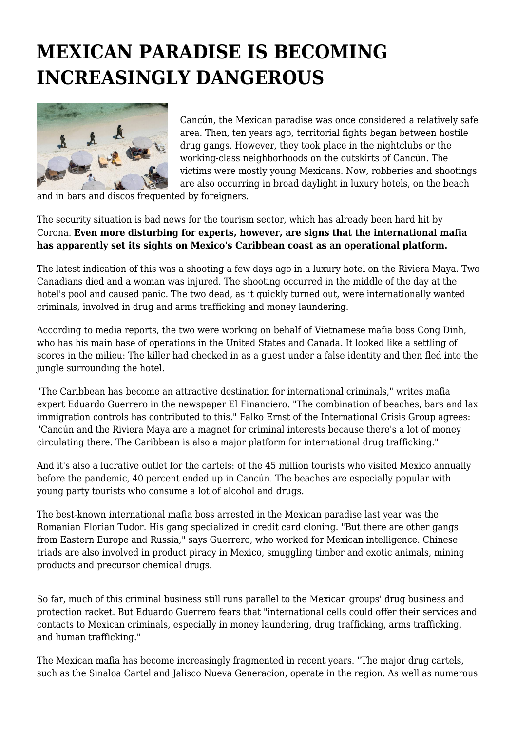## **MEXICAN PARADISE IS BECOMING INCREASINGLY DANGEROUS**



Cancún, the Mexican paradise was once considered a relatively safe area. Then, ten years ago, territorial fights began between hostile drug gangs. However, they took place in the nightclubs or the working-class neighborhoods on the outskirts of Cancún. The victims were mostly young Mexicans. Now, robberies and shootings are also occurring in broad daylight in luxury hotels, on the beach

and in bars and discos frequented by foreigners.

The security situation is bad news for the tourism sector, which has already been hard hit by Corona. **Even more disturbing for experts, however, are signs that the international mafia has apparently set its sights on Mexico's Caribbean coast as an operational platform.**

The latest indication of this was a shooting a few days ago in a luxury hotel on the Riviera Maya. Two Canadians died and a woman was injured. The shooting occurred in the middle of the day at the hotel's pool and caused panic. The two dead, as it quickly turned out, were internationally wanted criminals, involved in drug and arms trafficking and money laundering.

According to media reports, the two were working on behalf of Vietnamese mafia boss Cong Dinh, who has his main base of operations in the United States and Canada. It looked like a settling of scores in the milieu: The killer had checked in as a guest under a false identity and then fled into the jungle surrounding the hotel.

"The Caribbean has become an attractive destination for international criminals," writes mafia expert Eduardo Guerrero in the newspaper El Financiero. "The combination of beaches, bars and lax immigration controls has contributed to this." Falko Ernst of the International Crisis Group agrees: "Cancún and the Riviera Maya are a magnet for criminal interests because there's a lot of money circulating there. The Caribbean is also a major platform for international drug trafficking."

And it's also a lucrative outlet for the cartels: of the 45 million tourists who visited Mexico annually before the pandemic, 40 percent ended up in Cancún. The beaches are especially popular with young party tourists who consume a lot of alcohol and drugs.

The best-known international mafia boss arrested in the Mexican paradise last year was the Romanian Florian Tudor. His gang specialized in credit card cloning. "But there are other gangs from Eastern Europe and Russia," says Guerrero, who worked for Mexican intelligence. Chinese triads are also involved in product piracy in Mexico, smuggling timber and exotic animals, mining products and precursor chemical drugs.

So far, much of this criminal business still runs parallel to the Mexican groups' drug business and protection racket. But Eduardo Guerrero fears that "international cells could offer their services and contacts to Mexican criminals, especially in money laundering, drug trafficking, arms trafficking, and human trafficking."

The Mexican mafia has become increasingly fragmented in recent years. "The major drug cartels, such as the Sinaloa Cartel and Jalisco Nueva Generacion, operate in the region. As well as numerous